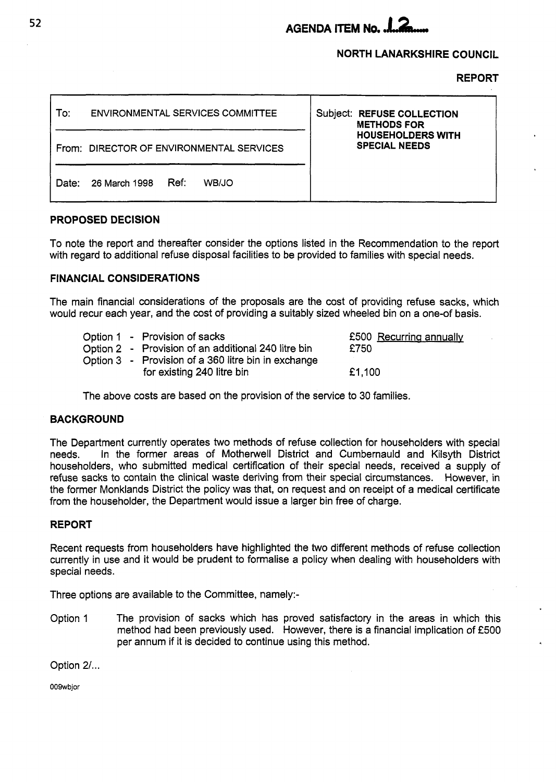# **AGENDA ITEM No.**

## **NORTH LANARKSHIRE COUNCIL**

**REPORT** 

| To:   | ENVIRONMENTAL SERVICES COMMITTEE         | <b>Subject: REFUSE COLLECTION</b><br><b>METHODS FOR</b> |
|-------|------------------------------------------|---------------------------------------------------------|
|       | From: DIRECTOR OF ENVIRONMENTAL SERVICES | <b>HOUSEHOLDERS WITH</b><br><b>SPECIAL NEEDS</b>        |
| Date: | Ref:<br>26 March 1998<br>WB/JO           |                                                         |

## **PROPOSED DECISION**

To note the report and thereafter consider the options listed in the Recommendation to the report with regard to additional refuse disposal facilities to be provided to families with special needs.

# **FINANCIAL CONSIDERATIONS**

The main financial considerations of the proposals are the cost of providing refuse sacks, which would recur each year, and the cost of providing a suitably sized wheeled bin on a one-of basis.

|  | Option 1 - Provision of sacks<br>Option 2 - Provision of an additional 240 litre bin | £500 Recurring annually<br>£750 |  |
|--|--------------------------------------------------------------------------------------|---------------------------------|--|
|  | Option 3 - Provision of a 360 litre bin in exchange<br>for existing 240 litre bin    | £1.100                          |  |

The above costs are based on the provision of the service to 30 families.

#### **BACKGROUND**

The Department currently operates two methods of refuse collection for householders with special needs. In the former areas of Motherwell District and Cumbernauld and Kilsyth District householders, who submitted medical certification of their special needs, received a supply of refuse sacks to contain the clinical waste deriving from their special circumstances. However, in the former Monklands District the policy was that, on request and on receipt of a medical certificate from the householder, the Department would issue a larger bin free of charge.

# **REPORT**

Recent requests from householders have highlighted the *two* different methods of refuse collection currently in use and it would be prudent to formalise a policy when dealing with householders with special needs.

Three options are available to the Committee, namely:-

Option 1 The provision of sacks which has proved satisfactory in the areas in which this method had been previously used. However, there is a financial implication of €500 per annum if it is decided to continue using this method. **<sup>4</sup>**

Option **2/** ...

OOWbjor